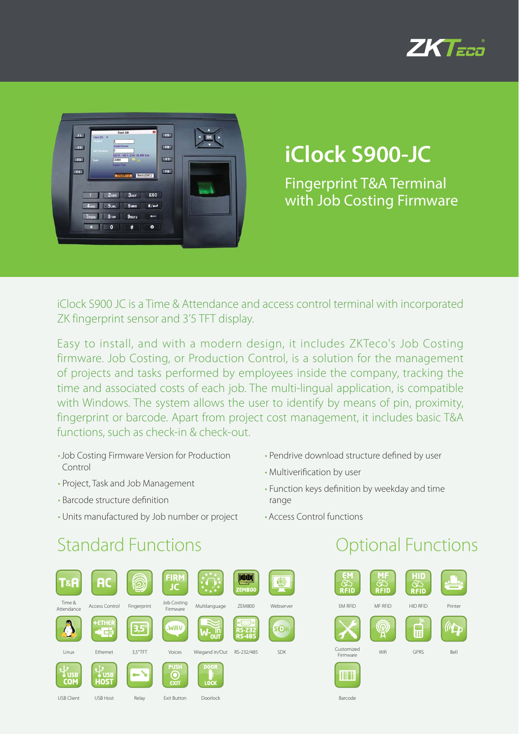



# **iClock S900-JC**

Fingerprint T&A Terminal with Job Costing Firmware

iClock S900 JC is a Time & Attendance and access control terminal with incorporated ZK fingerprint sensor and 3'5 TFT display.

Easy to install, and with a modern design, it includes ZKTeco's Job Costing firmware. Job Costing, or Production Control, is a solution for the management of projects and tasks performed by employees inside the company, tracking the time and associated costs of each job. The multi-lingual application, is compatible with Windows. The system allows the user to identify by means of pin, proximity, fingerprint or barcode. Apart from project cost management, it includes basic T&A functions, such as check-in & check-out.

- Job Costing Firmware Version for Production Control
- Project, Task and Job Management
- Barcode structure definition
- Units manufactured by Job number or project
- Pendrive download structure defined by user
- Multiverification by user
- Function keys definition by weekday and time range
- Access Control functions

### Standard Functions **Contract Contract Contract Contract Contract Contract Contract Contract Contract Contract Contract Contract Contract Contract Contract Contract Contract Contract Contract Contract Contract Contract Cont**

| <b>T&amp;A</b>           | <b>AC</b>                  |             | <b>FIRM</b><br><b>JC</b>                |                     | <b>ZEM800</b>                              |            |
|--------------------------|----------------------------|-------------|-----------------------------------------|---------------------|--------------------------------------------|------------|
| Time &<br>Attendance     | <b>Access Control</b>      | Fingerprint | Job Costing<br>Firmware                 | Multilanguage       | <b>ZEM800</b>                              | Webserver  |
|                          | +ETHER<br><b>ALL</b><br>中国 | 3.5"        | .WAV                                    | nin<br>1100         | ಂ(ೕ಼಼ೖ)ಂ<br><b>RS-232</b><br><b>RS-485</b> | <b>SO</b>  |
| Linux                    | Ethernet                   | 3.5"TFT     | Voices                                  | Wiegand In/Out      | RS-232/485                                 | <b>SDK</b> |
| <b>USB</b><br><b>COM</b> | <b>USB</b><br><b>HOST</b>  |             | <b>PUSH</b><br>$\bullet$<br><b>EXIT</b> | <b>DOOR</b><br>LOCK |                                            |            |
| <b>USB Client</b>        | USB Host                   | Relay       | <b>Exit Button</b>                      | Doorlock            |                                            |            |